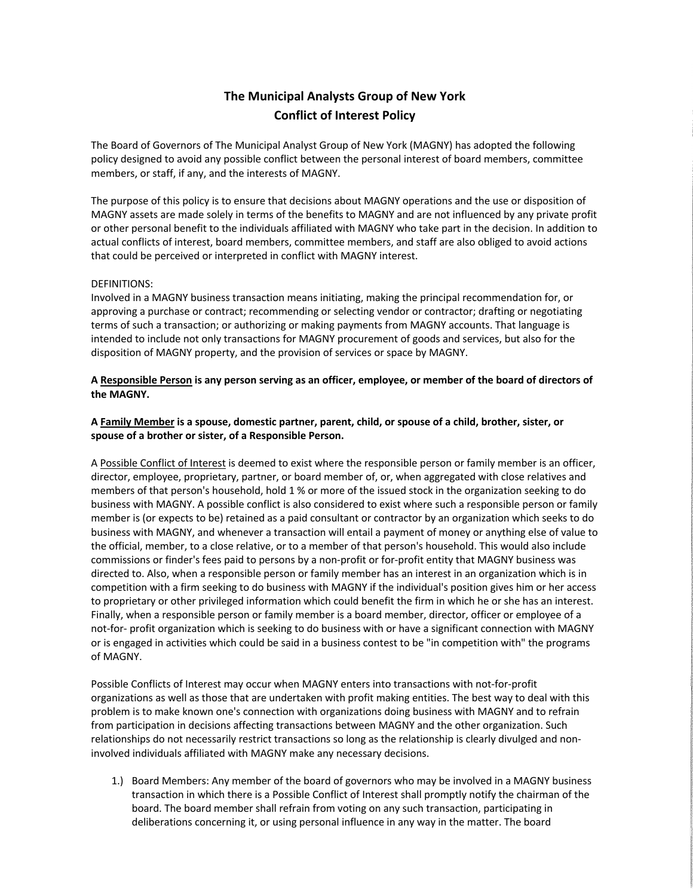## **The Municipal Analysts Group of New York Conflict of Interest Policy**

The Board of Governors of The Municipal Analyst Group of New York (MAGNY) has adopted the following policy designed to avoid any possible conflict between the personal interest of board members, committee members, or staff, if any, and the interests of MAGNY.

The purpose of this policy is to ensure that decisions about MAGNY operations and the use or disposition of MAGNY assets are made solely in terms of the benefits to MAGNY and are not influenced by any private profit or other personal benefit to the individuals affiliated with MAGNY who take part in the decision. In addition to actual conflicts of interest, board members, committee members, and staff are also obliged to avoid actions that could be perceived or interpreted in conflict with MAGNY interest.

## DEFINITIONS:

Involved in a MAGNY business transaction means initiating, making the principal recommendation for, or approving a purchase or contract; recommending or selecting vendor or contractor; drafting or negotiating terms of such a transaction; or authorizing or making payments from MAGNY accounts. That language is intended to include not only transactions for MAGNY procurement of goods and services, but also for the disposition of MAGNY property, and the provision of services or space by MAGNY.

## **A Responsible Person is any person serving as an officer, employee, or member of the board of directors of the MAGNY.**

## **A Family Member is a spouse, domestic partner, parent, child, or spouse of a child, brother, sister, or spouse of a brother or sister, of a Responsible Person.**

A Possible Conflict of Interest is deemed to exist where the responsible person or family member is an officer, director, employee, proprietary, partner, or board member of, or, when aggregated with close relatives and members of that person's household, hold 1 % or more of the issued stock in the organization seeking to do business with MAGNY. A possible conflict is also considered to exist where such a responsible person or family member is (or expects to be) retained as a paid consultant or contractor by an organization which seeks to do business with MAGNY, and whenever a transaction will entail a payment of money or anything else of value to the official, member, to a close relative, or to a member of that person's household. This would also include commissions or finder's fees paid to persons by a non-profit or for-profit entity that MAGNY business was directed to. Also, when a responsible person or family member has an interest in an organization which is in competition with a firm seeking to do business with MAGNY if the individual's position gives him or her access to proprietary or other privileged information which could benefit the firm in which he or she has an interest. Finally, when a responsible person or family member is a board member, director, officer or employee of a not-for- profit organization which is seeking to do business with or have a significant connection with MAGNY or is engaged in activities which could be said in a business contest to be "in competition with" the programs of MAGNY.

Possible Conflicts of Interest may occur when MAGNY enters into transactions with not-for-profit organizations as well as those that are undertaken with profit making entities. The best way to deal with this problem is to make known one's connection with organizations doing business with MAGNY and to refrain from participation in decisions affecting transactions between MAGNY and the other organization. Such relationships do not necessarily restrict transactions so long as the relationship is clearly divulged and noninvolved individuals affiliated with MAGNY make any necessary decisions.

1.) Board Members: Any member of the board of governors who may be involved in a MAGNY business transaction in which there is a Possible Conflict of Interest shall promptly notify the chairman of the board. The board member shall refrain from voting on any such transaction, participating in deliberations concerning it, or using personal influence in any way in the matter. The board